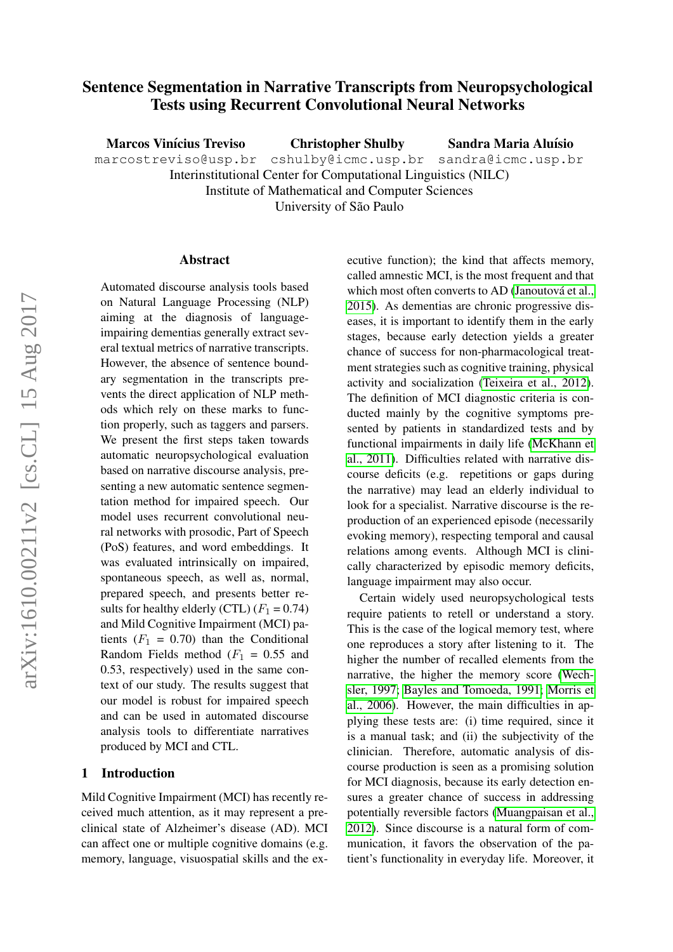# Sentence Segmentation in Narrative Transcripts from Neuropsychological Tests using Recurrent Convolutional Neural Networks

Marcos Vinícius Treviso Christopher Shulby Sandra Maria Aluísio

marcostreviso@usp.br cshulby@icmc.usp.br sandra@icmc.usp.br

Interinstitutional Center for Computational Linguistics (NILC)

Institute of Mathematical and Computer Sciences

University of São Paulo

#### Abstract

Automated discourse analysis tools based on Natural Language Processing (NLP) aiming at the diagnosis of languageimpairing dementias generally extract several textual metrics of narrative transcripts. However, the absence of sentence boundary segmentation in the transcripts prevents the direct application of NLP methods which rely on these marks to function properly, such as taggers and parsers. We present the first steps taken towards automatic neuropsychological evaluation based on narrative discourse analysis, presenting a new automatic sentence segmentation method for impaired speech. Our model uses recurrent convolutional neural networks with prosodic, Part of Speech (PoS) features, and word embeddings. It was evaluated intrinsically on impaired, spontaneous speech, as well as, normal, prepared speech, and presents better results for healthy elderly (CTL)  $(F_1 = 0.74)$ and Mild Cognitive Impairment (MCI) patients  $(F_1 = 0.70)$  than the Conditional Random Fields method  $(F_1 = 0.55$  and 0.53, respectively) used in the same context of our study. The results suggest that our model is robust for impaired speech and can be used in automated discourse analysis tools to differentiate narratives produced by MCI and CTL.

# 1 Introduction

Mild Cognitive Impairment (MCI) has recently received much attention, as it may represent a preclinical state of Alzheimer's disease (AD). MCI can affect one or multiple cognitive domains (e.g. memory, language, visuospatial skills and the executive function); the kind that affects memory, called amnestic MCI, is the most frequent and that which most often converts to AD (Janoutová et al., [2015\)](#page-9-0). As dementias are chronic progressive diseases, it is important to identify them in the early stages, because early detection yields a greater chance of success for non-pharmacological treatment strategies such as cognitive training, physical activity and socialization [\(Teixeira et al., 2012\)](#page-10-0). The definition of MCI diagnostic criteria is conducted mainly by the cognitive symptoms presented by patients in standardized tests and by functional impairments in daily life [\(McKhann et](#page-10-1) [al., 2011\)](#page-10-1). Difficulties related with narrative discourse deficits (e.g. repetitions or gaps during the narrative) may lead an elderly individual to look for a specialist. Narrative discourse is the reproduction of an experienced episode (necessarily evoking memory), respecting temporal and causal relations among events. Although MCI is clinically characterized by episodic memory deficits, language impairment may also occur.

Certain widely used neuropsychological tests require patients to retell or understand a story. This is the case of the logical memory test, where one reproduces a story after listening to it. The higher the number of recalled elements from the narrative, the higher the memory score [\(Wech](#page-10-2)[sler, 1997;](#page-10-2) [Bayles and Tomoeda, 1991;](#page-9-1) [Morris et](#page-10-3) [al., 2006\)](#page-10-3). However, the main difficulties in applying these tests are: (i) time required, since it is a manual task; and (ii) the subjectivity of the clinician. Therefore, automatic analysis of discourse production is seen as a promising solution for MCI diagnosis, because its early detection ensures a greater chance of success in addressing potentially reversible factors [\(Muangpaisan et al.,](#page-10-4) [2012\)](#page-10-4). Since discourse is a natural form of communication, it favors the observation of the patient's functionality in everyday life. Moreover, it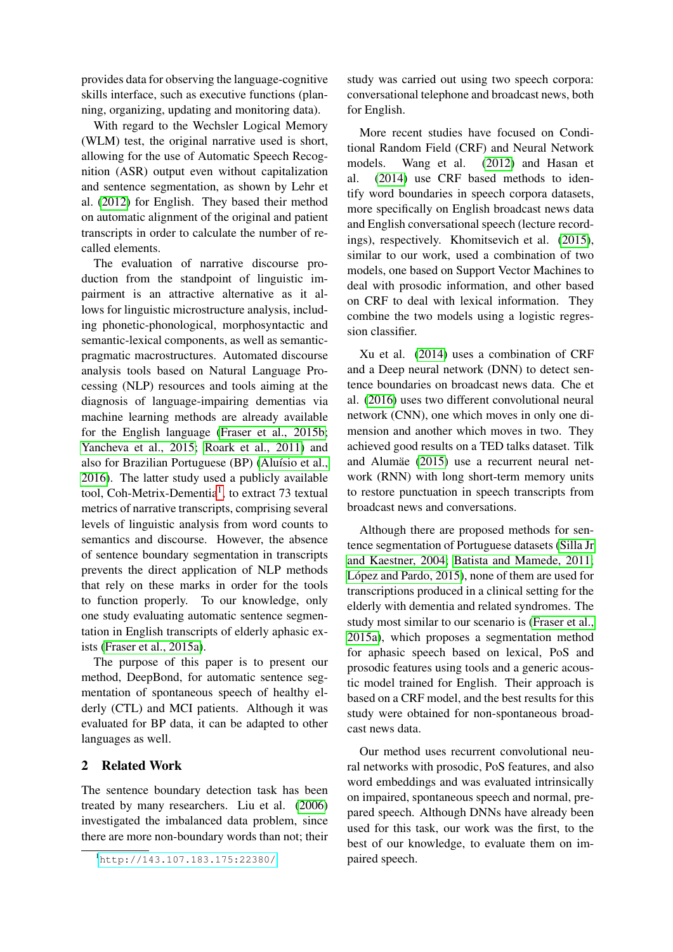provides data for observing the language-cognitive skills interface, such as executive functions (planning, organizing, updating and monitoring data).

With regard to the Wechsler Logical Memory (WLM) test, the original narrative used is short, allowing for the use of Automatic Speech Recognition (ASR) output even without capitalization and sentence segmentation, as shown by Lehr et al. [\(2012\)](#page-10-5) for English. They based their method on automatic alignment of the original and patient transcripts in order to calculate the number of recalled elements.

The evaluation of narrative discourse production from the standpoint of linguistic impairment is an attractive alternative as it allows for linguistic microstructure analysis, including phonetic-phonological, morphosyntactic and semantic-lexical components, as well as semanticpragmatic macrostructures. Automated discourse analysis tools based on Natural Language Processing (NLP) resources and tools aiming at the diagnosis of language-impairing dementias via machine learning methods are already available for the English language [\(Fraser et al., 2015b;](#page-9-2) [Yancheva et al., 2015;](#page-10-6) [Roark et al., 2011\)](#page-10-7) and also for Brazilian Portuguese (BP) (Aluísio et al., [2016\)](#page-9-3). The latter study used a publicly available tool, Coh-Metrix-Dementia<sup>[1](#page-1-0)</sup>, to extract 73 textual metrics of narrative transcripts, comprising several levels of linguistic analysis from word counts to semantics and discourse. However, the absence of sentence boundary segmentation in transcripts prevents the direct application of NLP methods that rely on these marks in order for the tools to function properly. To our knowledge, only one study evaluating automatic sentence segmentation in English transcripts of elderly aphasic exists [\(Fraser et al., 2015a\)](#page-9-4).

The purpose of this paper is to present our method, DeepBond, for automatic sentence segmentation of spontaneous speech of healthy elderly (CTL) and MCI patients. Although it was evaluated for BP data, it can be adapted to other languages as well.

# 2 Related Work

The sentence boundary detection task has been treated by many researchers. Liu et al. [\(2006\)](#page-10-8) investigated the imbalanced data problem, since there are more non-boundary words than not; their study was carried out using two speech corpora: conversational telephone and broadcast news, both for English.

More recent studies have focused on Conditional Random Field (CRF) and Neural Network models. Wang et al. [\(2012\)](#page-10-9) and Hasan et al. [\(2014\)](#page-9-5) use CRF based methods to identify word boundaries in speech corpora datasets, more specifically on English broadcast news data and English conversational speech (lecture recordings), respectively. Khomitsevich et al. [\(2015\)](#page-9-6), similar to our work, used a combination of two models, one based on Support Vector Machines to deal with prosodic information, and other based on CRF to deal with lexical information. They combine the two models using a logistic regression classifier.

Xu et al. [\(2014\)](#page-10-10) uses a combination of CRF and a Deep neural network (DNN) to detect sentence boundaries on broadcast news data. Che et al. [\(2016\)](#page-9-7) uses two different convolutional neural network (CNN), one which moves in only one dimension and another which moves in two. They achieved good results on a TED talks dataset. Tilk and Alumäe [\(2015\)](#page-10-11) use a recurrent neural network (RNN) with long short-term memory units to restore punctuation in speech transcripts from broadcast news and conversations.

Although there are proposed methods for sentence segmentation of Portuguese datasets [\(Silla Jr](#page-10-12) [and Kaestner, 2004;](#page-10-12) [Batista and Mamede, 2011;](#page-9-8) López and Pardo, 2015), none of them are used for transcriptions produced in a clinical setting for the elderly with dementia and related syndromes. The study most similar to our scenario is [\(Fraser et al.,](#page-9-4) [2015a\)](#page-9-4), which proposes a segmentation method for aphasic speech based on lexical, PoS and prosodic features using tools and a generic acoustic model trained for English. Their approach is based on a CRF model, and the best results for this study were obtained for non-spontaneous broadcast news data.

Our method uses recurrent convolutional neural networks with prosodic, PoS features, and also word embeddings and was evaluated intrinsically on impaired, spontaneous speech and normal, prepared speech. Although DNNs have already been used for this task, our work was the first, to the best of our knowledge, to evaluate them on impaired speech.

<span id="page-1-0"></span><sup>1</sup><http://143.107.183.175:22380/>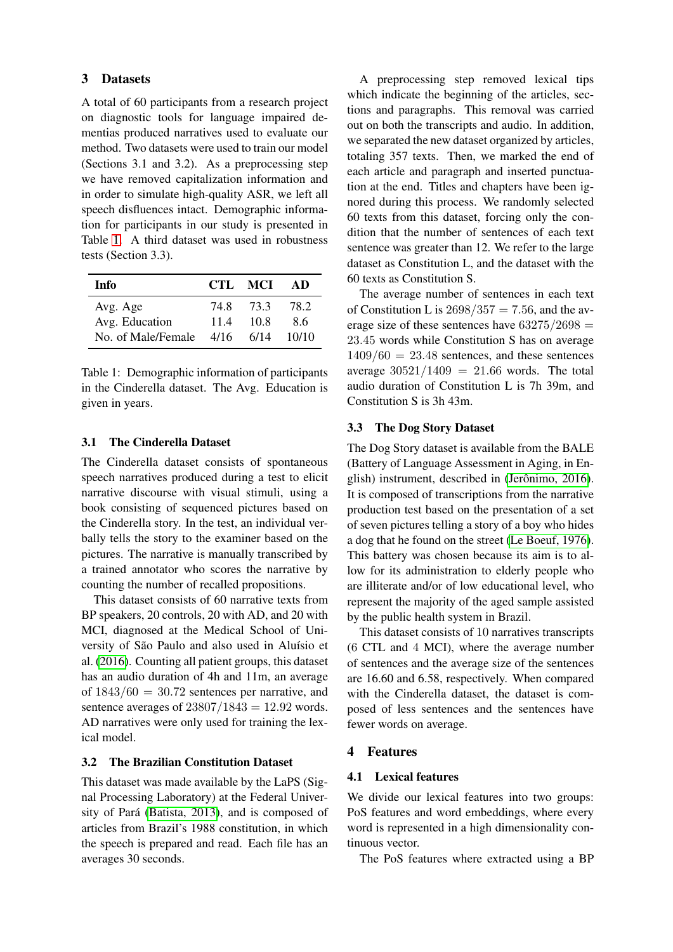### 3 Datasets

A total of 60 participants from a research project on diagnostic tools for language impaired dementias produced narratives used to evaluate our method. Two datasets were used to train our model (Sections 3.1 and 3.2). As a preprocessing step we have removed capitalization information and in order to simulate high-quality ASR, we left all speech disfluences intact. Demographic information for participants in our study is presented in Table [1.](#page-2-0) A third dataset was used in robustness tests (Section 3.3).

<span id="page-2-0"></span>

| Info               |      | CTL MCI | AD    |
|--------------------|------|---------|-------|
| Avg. Age           | 74 8 | 733     | 78.2  |
| Avg. Education     | 11.4 | 10 S    | 86    |
| No. of Male/Female | 4/16 | 6/14    | 10/10 |

Table 1: Demographic information of participants in the Cinderella dataset. The Avg. Education is given in years.

### 3.1 The Cinderella Dataset

The Cinderella dataset consists of spontaneous speech narratives produced during a test to elicit narrative discourse with visual stimuli, using a book consisting of sequenced pictures based on the Cinderella story. In the test, an individual verbally tells the story to the examiner based on the pictures. The narrative is manually transcribed by a trained annotator who scores the narrative by counting the number of recalled propositions.

This dataset consists of 60 narrative texts from BP speakers, 20 controls, 20 with AD, and 20 with MCI, diagnosed at the Medical School of University of São Paulo and also used in Aluísio et al. [\(2016\)](#page-9-3). Counting all patient groups, this dataset has an audio duration of 4h and 11m, an average of  $1843/60 = 30.72$  sentences per narrative, and sentence averages of  $23807/1843 = 12.92$  words. AD narratives were only used for training the lexical model.

#### 3.2 The Brazilian Constitution Dataset

This dataset was made available by the LaPS (Signal Processing Laboratory) at the Federal Univer-sity of Pará [\(Batista, 2013\)](#page-9-9), and is composed of articles from Brazil's 1988 constitution, in which the speech is prepared and read. Each file has an averages 30 seconds.

A preprocessing step removed lexical tips which indicate the beginning of the articles, sections and paragraphs. This removal was carried out on both the transcripts and audio. In addition, we separated the new dataset organized by articles, totaling 357 texts. Then, we marked the end of each article and paragraph and inserted punctuation at the end. Titles and chapters have been ignored during this process. We randomly selected 60 texts from this dataset, forcing only the condition that the number of sentences of each text sentence was greater than 12. We refer to the large dataset as Constitution L, and the dataset with the 60 texts as Constitution S.

The average number of sentences in each text of Constitution L is  $2698/357 = 7.56$ , and the average size of these sentences have  $63275/2698 =$ 23.45 words while Constitution S has on average  $1409/60 = 23.48$  sentences, and these sentences average  $30521/1409 = 21.66$  words. The total audio duration of Constitution L is 7h 39m, and Constitution S is 3h 43m.

#### 3.3 The Dog Story Dataset

The Dog Story dataset is available from the BALE (Battery of Language Assessment in Aging, in English) instrument, described in (Jerônimo, 2016). It is composed of transcriptions from the narrative production test based on the presentation of a set of seven pictures telling a story of a boy who hides a dog that he found on the street [\(Le Boeuf, 1976\)](#page-10-14). This battery was chosen because its aim is to allow for its administration to elderly people who are illiterate and/or of low educational level, who represent the majority of the aged sample assisted by the public health system in Brazil.

This dataset consists of 10 narratives transcripts (6 CTL and 4 MCI), where the average number of sentences and the average size of the sentences are 16.60 and 6.58, respectively. When compared with the Cinderella dataset, the dataset is composed of less sentences and the sentences have fewer words on average.

### 4 Features

### 4.1 Lexical features

We divide our lexical features into two groups: PoS features and word embeddings, where every word is represented in a high dimensionality continuous vector.

The PoS features where extracted using a BP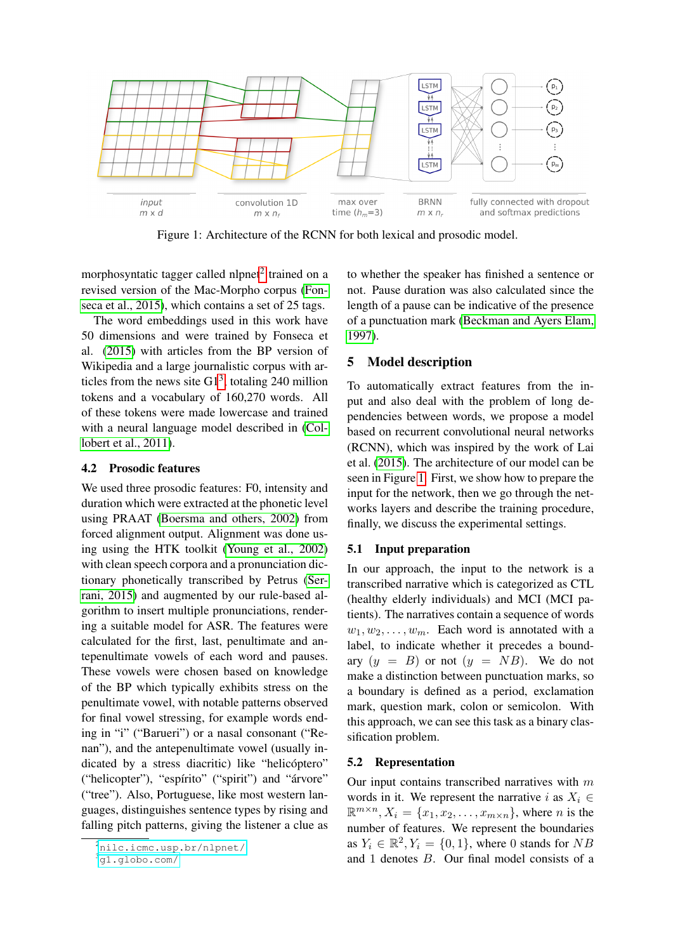<span id="page-3-2"></span>

Figure 1: Architecture of the RCNN for both lexical and prosodic model.

morphosyntatic tagger called nlpnet<sup>[2](#page-3-0)</sup> trained on a revised version of the Mac-Morpho corpus [\(Fon](#page-9-11)[seca et al., 2015\)](#page-9-11), which contains a set of 25 tags.

The word embeddings used in this work have 50 dimensions and were trained by Fonseca et al. [\(2015\)](#page-9-11) with articles from the BP version of Wikipedia and a large journalistic corpus with articles from the news site  $G1<sup>3</sup>$  $G1<sup>3</sup>$  $G1<sup>3</sup>$ , totaling 240 million tokens and a vocabulary of 160,270 words. All of these tokens were made lowercase and trained with a neural language model described in [\(Col](#page-9-12)[lobert et al., 2011\)](#page-9-12).

#### 4.2 Prosodic features

We used three prosodic features: F0, intensity and duration which were extracted at the phonetic level using PRAAT [\(Boersma and others, 2002\)](#page-9-13) from forced alignment output. Alignment was done using using the HTK toolkit [\(Young et al., 2002\)](#page-10-15) with clean speech corpora and a pronunciation dictionary phonetically transcribed by Petrus [\(Ser](#page-10-16)[rani, 2015\)](#page-10-16) and augmented by our rule-based algorithm to insert multiple pronunciations, rendering a suitable model for ASR. The features were calculated for the first, last, penultimate and antepenultimate vowels of each word and pauses. These vowels were chosen based on knowledge of the BP which typically exhibits stress on the penultimate vowel, with notable patterns observed for final vowel stressing, for example words ending in "i" ("Barueri") or a nasal consonant ("Renan"), and the antepenultimate vowel (usually indicated by a stress diacritic) like "helicóptero" ("helicopter"), "espírito" ("spirit") and "árvore" ("tree"). Also, Portuguese, like most western languages, distinguishes sentence types by rising and falling pitch patterns, giving the listener a clue as

to whether the speaker has finished a sentence or not. Pause duration was also calculated since the length of a pause can be indicative of the presence of a punctuation mark [\(Beckman and Ayers Elam,](#page-9-14) [1997\)](#page-9-14).

### 5 Model description

To automatically extract features from the input and also deal with the problem of long dependencies between words, we propose a model based on recurrent convolutional neural networks (RCNN), which was inspired by the work of Lai et al. [\(2015\)](#page-9-15). The architecture of our model can be seen in Figure [1.](#page-3-2) First, we show how to prepare the input for the network, then we go through the networks layers and describe the training procedure, finally, we discuss the experimental settings.

### 5.1 Input preparation

In our approach, the input to the network is a transcribed narrative which is categorized as CTL (healthy elderly individuals) and MCI (MCI patients). The narratives contain a sequence of words  $w_1, w_2, \ldots, w_m$ . Each word is annotated with a label, to indicate whether it precedes a boundary  $(y = B)$  or not  $(y = NB)$ . We do not make a distinction between punctuation marks, so a boundary is defined as a period, exclamation mark, question mark, colon or semicolon. With this approach, we can see this task as a binary classification problem.

# 5.2 Representation

Our input contains transcribed narratives with  $m$ words in it. We represent the narrative i as  $X_i \in$  $\mathbb{R}^{m \times n}$ ,  $X_i = \{x_1, x_2, \dots, x_{m \times n}\}\$ , where *n* is the number of features. We represent the boundaries as  $Y_i \in \mathbb{R}^2$ ,  $Y_i = \{0, 1\}$ , where 0 stands for  $NB$ and 1 denotes B. Our final model consists of a

<span id="page-3-0"></span><sup>2</sup><nilc.icmc.usp.br/nlpnet/>

<span id="page-3-1"></span><sup>3</sup><g1.globo.com/>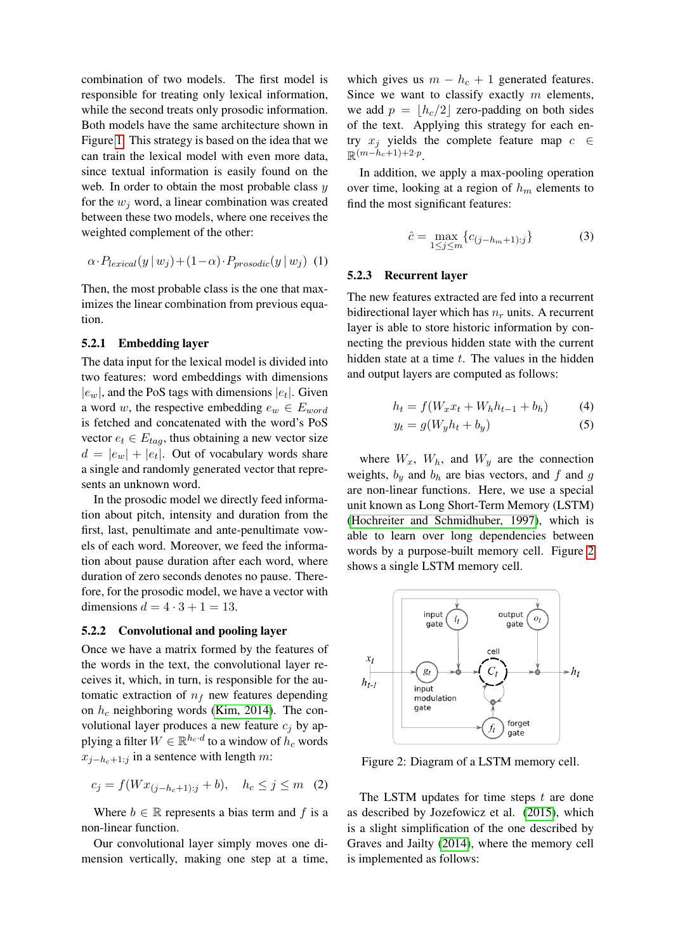combination of two models. The first model is responsible for treating only lexical information, while the second treats only prosodic information. Both models have the same architecture shown in Figure [1.](#page-3-2) This strategy is based on the idea that we can train the lexical model with even more data, since textual information is easily found on the web. In order to obtain the most probable class  $y$ for the  $w_i$  word, a linear combination was created between these two models, where one receives the weighted complement of the other:

<span id="page-4-1"></span>
$$
\alpha \cdot P_{lexical}(y \mid w_j) + (1 - \alpha) \cdot P_{prosodic}(y \mid w_j) \tag{1}
$$

Then, the most probable class is the one that maximizes the linear combination from previous equation.

### 5.2.1 Embedding layer

The data input for the lexical model is divided into two features: word embeddings with dimensions  $|e_w|$ , and the PoS tags with dimensions  $|e_t|$ . Given a word w, the respective embedding  $e_w \in E_{word}$ is fetched and concatenated with the word's PoS vector  $e_t \in E_{tag}$ , thus obtaining a new vector size  $d = |e_w| + |e_t|$ . Out of vocabulary words share a single and randomly generated vector that represents an unknown word.

In the prosodic model we directly feed information about pitch, intensity and duration from the first, last, penultimate and ante-penultimate vowels of each word. Moreover, we feed the information about pause duration after each word, where duration of zero seconds denotes no pause. Therefore, for the prosodic model, we have a vector with dimensions  $d = 4 \cdot 3 + 1 = 13$ .

#### 5.2.2 Convolutional and pooling layer

Once we have a matrix formed by the features of the words in the text, the convolutional layer receives it, which, in turn, is responsible for the automatic extraction of  $n_f$  new features depending on  $h_c$  neighboring words [\(Kim, 2014\)](#page-9-16). The convolutional layer produces a new feature  $c_i$  by applying a filter  $W \in \mathbb{R}^{h_c \cdot d}$  to a window of  $h_c$  words  $x_{j-h_c+1:j}$  in a sentence with length m:

$$
c_j = f(Wx_{(j-h_c+1):j} + b), \quad h_c \le j \le m \quad (2)
$$

Where  $b \in \mathbb{R}$  represents a bias term and f is a non-linear function.

Our convolutional layer simply moves one dimension vertically, making one step at a time, which gives us  $m - h_c + 1$  generated features. Since we want to classify exactly  $m$  elements, we add  $p = |h_c/2|$  zero-padding on both sides of the text. Applying this strategy for each entry  $x_j$  yields the complete feature map  $c \in$  $\mathbb{R}^{(m-h_c+1)+2\cdot p}$ .

In addition, we apply a max-pooling operation over time, looking at a region of  $h_m$  elements to find the most significant features:

$$
\hat{c} = \max_{1 \le j \le m} \{c_{(j-h_m+1):j}\}\tag{3}
$$

#### 5.2.3 Recurrent layer

The new features extracted are fed into a recurrent bidirectional layer which has  $n_r$  units. A recurrent layer is able to store historic information by connecting the previous hidden state with the current hidden state at a time  $t$ . The values in the hidden and output layers are computed as follows:

$$
h_t = f(W_x x_t + W_h h_{t-1} + b_h)
$$
 (4)

$$
y_t = g(W_y h_t + b_y) \tag{5}
$$

where  $W_x$ ,  $W_h$ , and  $W_y$  are the connection weights,  $b_y$  and  $b_h$  are bias vectors, and f and g are non-linear functions. Here, we use a special unit known as Long Short-Term Memory (LSTM) [\(Hochreiter and Schmidhuber, 1997\)](#page-9-17), which is able to learn over long dependencies between words by a purpose-built memory cell. Figure [2](#page-4-0) shows a single LSTM memory cell.

<span id="page-4-0"></span>

Figure 2: Diagram of a LSTM memory cell.

The LSTM updates for time steps  $t$  are done as described by Jozefowicz et al. [\(2015\)](#page-9-18), which is a slight simplification of the one described by Graves and Jailty [\(2014\)](#page-9-19), where the memory cell is implemented as follows: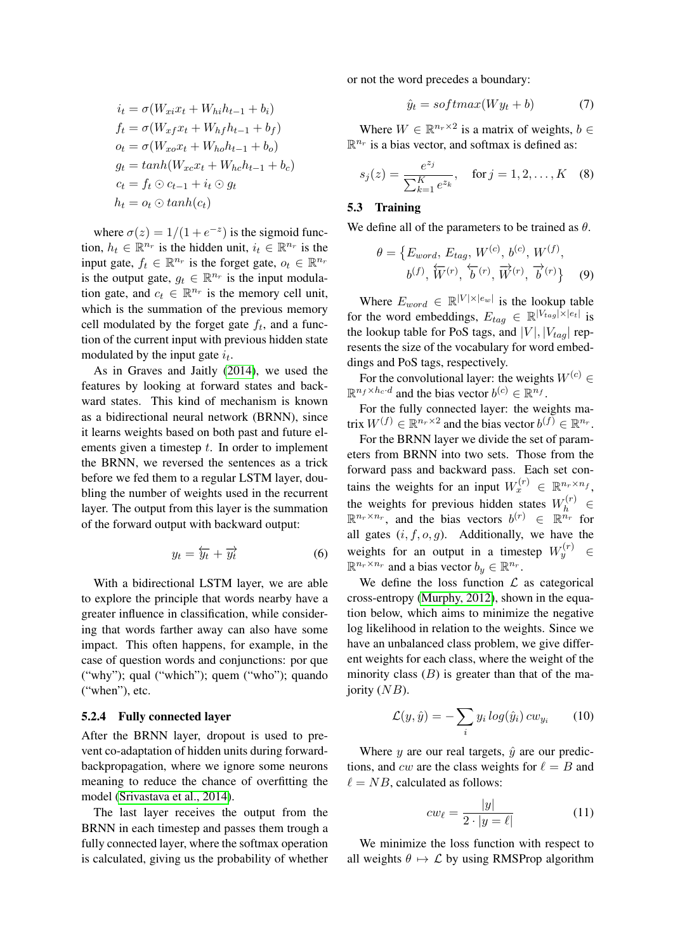$$
i_t = \sigma(W_{xi}x_t + W_{hi}h_{t-1} + b_i)
$$
  
\n
$$
f_t = \sigma(W_{xf}x_t + W_{hf}h_{t-1} + b_f)
$$
  
\n
$$
o_t = \sigma(W_{xo}x_t + W_{ho}h_{t-1} + b_o)
$$
  
\n
$$
g_t = tanh(W_{xc}x_t + W_{hc}h_{t-1} + b_c)
$$
  
\n
$$
c_t = f_t \odot c_{t-1} + i_t \odot g_t
$$
  
\n
$$
h_t = o_t \odot tanh(c_t)
$$

where  $\sigma(z) = 1/(1 + e^{-z})$  is the sigmoid function,  $h_t \in \mathbb{R}^{n_r}$  is the hidden unit,  $i_t \in \mathbb{R}^{n_r}$  is the input gate,  $f_t \in \mathbb{R}^{n_r}$  is the forget gate,  $o_t \in \mathbb{R}^{n_r}$ is the output gate,  $g_t \in \mathbb{R}^{n_r}$  is the input modulation gate, and  $c_t \in \mathbb{R}^{n_r}$  is the memory cell unit, which is the summation of the previous memory cell modulated by the forget gate  $f_t$ , and a function of the current input with previous hidden state modulated by the input gate  $i_t$ .

As in Graves and Jaitly [\(2014\)](#page-9-19), we used the features by looking at forward states and backward states. This kind of mechanism is known as a bidirectional neural network (BRNN), since it learns weights based on both past and future elements given a timestep  $t$ . In order to implement the BRNN, we reversed the sentences as a trick before we fed them to a regular LSTM layer, doubling the number of weights used in the recurrent layer. The output from this layer is the summation of the forward output with backward output:

$$
y_t = \overleftarrow{y_t} + \overrightarrow{y_t} \tag{6}
$$

With a bidirectional LSTM layer, we are able to explore the principle that words nearby have a greater influence in classification, while considering that words farther away can also have some impact. This often happens, for example, in the case of question words and conjunctions: por que ("why"); qual ("which"); quem ("who"); quando ("when"), etc.

#### 5.2.4 Fully connected layer

After the BRNN layer, dropout is used to prevent co-adaptation of hidden units during forwardbackpropagation, where we ignore some neurons meaning to reduce the chance of overfitting the model [\(Srivastava et al., 2014\)](#page-10-17).

The last layer receives the output from the BRNN in each timestep and passes them trough a fully connected layer, where the softmax operation is calculated, giving us the probability of whether or not the word precedes a boundary:

$$
\hat{y}_t = softmax(Wy_t + b) \tag{7}
$$

Where  $W \in \mathbb{R}^{n_r \times 2}$  is a matrix of weights,  $b \in$  $\mathbb{R}^{n_r}$  is a bias vector, and softmax is defined as:

$$
s_j(z) = \frac{e^{z_j}}{\sum_{k=1}^K e^{z_k}}, \quad \text{for } j = 1, 2, \dots, K \quad (8)
$$

## 5.3 Training

We define all of the parameters to be trained as  $\theta$ .

$$
\theta = \{E_{word}, E_{tag}, W^{(c)}, b^{(c)}, W^{(f)}, b^{(f)}, \overleftarrow{W}^{(r)}, \overleftarrow{b}^{(r)}, \overrightarrow{W}^{(r)}, \overrightarrow{b}^{(r)}\}
$$
(9)

Where  $E_{word} \in \mathbb{R}^{|V| \times |e_w|}$  is the lookup table for the word embeddings,  $E_{tag} \in \mathbb{R}^{|V_{tag}|\times |e_t|}$  is the lookup table for PoS tags, and  $|V|, |V_{tag}|$  represents the size of the vocabulary for word embeddings and PoS tags, respectively.

For the convolutional layer: the weights  $W^{(c)}$  ∈  $\mathbb{R}^{n_f \times h_c \cdot d}$  and the bias vector  $b^{(c)} \in \mathbb{R}^{n_f}$ .

For the fully connected layer: the weights matrix  $W^{(f)} \in \mathbb{R}^{n_r \times 2}$  and the bias vector  $b^{(f)} \in \mathbb{R}^{n_r}$ .

For the BRNN layer we divide the set of parameters from BRNN into two sets. Those from the forward pass and backward pass. Each set contains the weights for an input  $W_x^{(r)} \in \mathbb{R}^{n_r \times n_f}$ , the weights for previous hidden states  $W_h^{(r)} \in$  $\mathbb{R}^{n_r \times n_r}$ , and the bias vectors  $b^{(r)} \in \mathbb{R}^{n_r}$  for all gates  $(i, f, o, g)$ . Additionally, we have the weights for an output in a timestep  $W_y^{(r)} \in$  $\mathbb{R}^{n_r \times n_r}$  and a bias vector  $b_y \in \mathbb{R}^{n_r}$ .

We define the loss function  $\mathcal L$  as categorical cross-entropy [\(Murphy, 2012\)](#page-10-18), shown in the equation below, which aims to minimize the negative log likelihood in relation to the weights. Since we have an unbalanced class problem, we give different weights for each class, where the weight of the minority class  $(B)$  is greater than that of the majority  $(NB)$ .

$$
\mathcal{L}(y,\hat{y}) = -\sum_{i} y_i \log(\hat{y}_i) c w_{y_i} \qquad (10)
$$

Where y are our real targets,  $\hat{y}$  are our predictions, and cw are the class weights for  $\ell = B$  and  $\ell = NB$ , calculated as follows:

$$
cw_{\ell} = \frac{|y|}{2 \cdot |y = \ell|} \tag{11}
$$

We minimize the loss function with respect to all weights  $\theta \mapsto \mathcal{L}$  by using RMSProp algorithm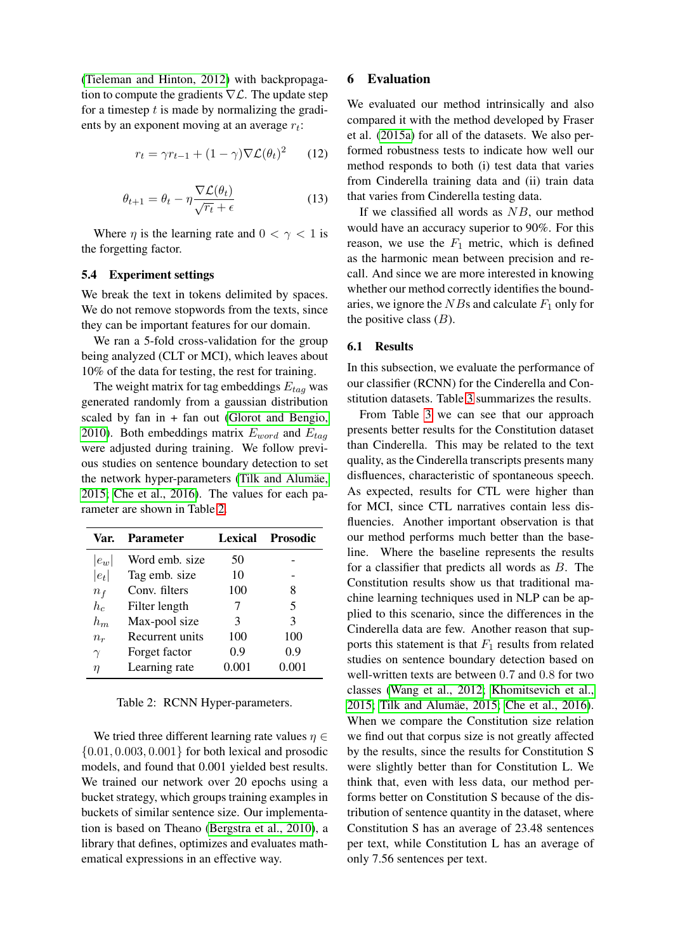[\(Tieleman and Hinton, 2012\)](#page-10-19) with backpropagation to compute the gradients  $\nabla \mathcal{L}$ . The update step for a timestep  $t$  is made by normalizing the gradients by an exponent moving at an average  $r_t$ :

$$
r_t = \gamma r_{t-1} + (1 - \gamma) \nabla \mathcal{L}(\theta_t)^2 \qquad (12)
$$

$$
\theta_{t+1} = \theta_t - \eta \frac{\nabla \mathcal{L}(\theta_t)}{\sqrt{r_t} + \epsilon}
$$
\n(13)

Where  $\eta$  is the learning rate and  $0 < \gamma < 1$  is the forgetting factor.

#### 5.4 Experiment settings

We break the text in tokens delimited by spaces. We do not remove stopwords from the texts, since they can be important features for our domain.

We ran a 5-fold cross-validation for the group being analyzed (CLT or MCI), which leaves about 10% of the data for testing, the rest for training.

The weight matrix for tag embeddings  $E_{taq}$  was generated randomly from a gaussian distribution scaled by fan in + fan out [\(Glorot and Bengio,](#page-9-20) [2010\)](#page-9-20). Both embeddings matrix  $E_{word}$  and  $E_{tag}$ were adjusted during training. We follow previous studies on sentence boundary detection to set the network hyper-parameters (Tilk and Alumäe, [2015;](#page-10-11) [Che et al., 2016\)](#page-9-7). The values for each parameter are shown in Table [2.](#page-6-0)

<span id="page-6-0"></span>

| Var.     | <b>Parameter</b> | Lexical | <b>Prosodic</b> |  |  |
|----------|------------------|---------|-----------------|--|--|
| $ e_w $  | Word emb. size   | 50      |                 |  |  |
| $ e_t $  | Tag emb. size    | 10      |                 |  |  |
| $n_f$    | Conv. filters    | 100     | 8               |  |  |
| $h_c$    | Filter length    |         | 5               |  |  |
| $h_m$    | Max-pool size    | 3       | 3               |  |  |
| $n_r$    | Recurrent units  | 100     | 100             |  |  |
| $\gamma$ | Forget factor    | 0.9     | 0.9             |  |  |
| η        | Learning rate    | 0.001   | 0.001           |  |  |

Table 2: RCNN Hyper-parameters.

We tried three different learning rate values  $\eta \in$  $\{0.01, 0.003, 0.001\}$  for both lexical and prosodic models, and found that 0.001 yielded best results. We trained our network over 20 epochs using a bucket strategy, which groups training examples in buckets of similar sentence size. Our implementation is based on Theano [\(Bergstra et al., 2010\)](#page-9-21), a library that defines, optimizes and evaluates mathematical expressions in an effective way.

### 6 Evaluation

We evaluated our method intrinsically and also compared it with the method developed by Fraser et al. [\(2015a\)](#page-9-4) for all of the datasets. We also performed robustness tests to indicate how well our method responds to both (i) test data that varies from Cinderella training data and (ii) train data that varies from Cinderella testing data.

If we classified all words as  $NB$ , our method would have an accuracy superior to 90%. For this reason, we use the  $F_1$  metric, which is defined as the harmonic mean between precision and recall. And since we are more interested in knowing whether our method correctly identifies the boundaries, we ignore the  $NBs$  and calculate  $F_1$  only for the positive class  $(B)$ .

### 6.1 Results

In this subsection, we evaluate the performance of our classifier (RCNN) for the Cinderella and Constitution datasets. Table [3](#page-7-0) summarizes the results.

From Table [3](#page-7-0) we can see that our approach presents better results for the Constitution dataset than Cinderella. This may be related to the text quality, as the Cinderella transcripts presents many disfluences, characteristic of spontaneous speech. As expected, results for CTL were higher than for MCI, since CTL narratives contain less disfluencies. Another important observation is that our method performs much better than the baseline. Where the baseline represents the results for a classifier that predicts all words as B. The Constitution results show us that traditional machine learning techniques used in NLP can be applied to this scenario, since the differences in the Cinderella data are few. Another reason that supports this statement is that  $F_1$  results from related studies on sentence boundary detection based on well-written texts are between 0.7 and 0.8 for two classes [\(Wang et al., 2012;](#page-10-9) [Khomitsevich et al.,](#page-9-6) [2015;](#page-9-6) Tilk and Alumäe, 2015; [Che et al., 2016\)](#page-9-7). When we compare the Constitution size relation we find out that corpus size is not greatly affected by the results, since the results for Constitution S were slightly better than for Constitution L. We think that, even with less data, our method performs better on Constitution S because of the distribution of sentence quantity in the dataset, where Constitution S has an average of 23.48 sentences per text, while Constitution L has an average of only 7.56 sentences per text.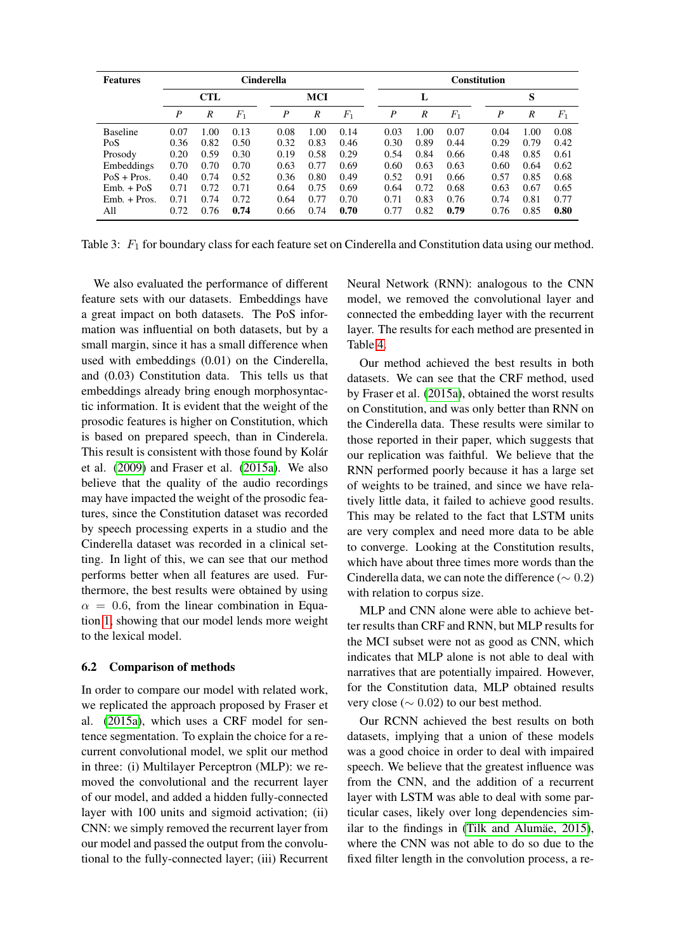<span id="page-7-0"></span>

| <b>Features</b> | <b>Cinderella</b> |      |         |            |      |       | <b>Constitution</b> |                  |         |                  |      |       |  |
|-----------------|-------------------|------|---------|------------|------|-------|---------------------|------------------|---------|------------------|------|-------|--|
|                 | <b>CTL</b>        |      |         | <b>MCI</b> |      |       | L                   |                  |         |                  | S    |       |  |
|                 | $\boldsymbol{P}$  | R    | $F_{1}$ | P          | R    | $F_1$ | P                   | $\boldsymbol{R}$ | $F_{1}$ | $\boldsymbol{P}$ | R    | $F_1$ |  |
| <b>Baseline</b> | 0.07              | 1.00 | 0.13    | 0.08       | 1.00 | 0.14  | 0.03                | 1.00             | 0.07    | 0.04             | 1.00 | 0.08  |  |
| Po <sub>S</sub> | 0.36              | 0.82 | 0.50    | 0.32       | 0.83 | 0.46  | 0.30                | 0.89             | 0.44    | 0.29             | 0.79 | 0.42  |  |
| Prosody         | 0.20              | 0.59 | 0.30    | 0.19       | 0.58 | 0.29  | 0.54                | 0.84             | 0.66    | 0.48             | 0.85 | 0.61  |  |
| Embeddings      | 0.70              | 0.70 | 0.70    | 0.63       | 0.77 | 0.69  | 0.60                | 0.63             | 0.63    | 0.60             | 0.64 | 0.62  |  |
| $PoS + Pros.$   | 0.40              | 0.74 | 0.52    | 0.36       | 0.80 | 0.49  | 0.52                | 0.91             | 0.66    | 0.57             | 0.85 | 0.68  |  |
| $Emb. + PoS$    | 0.71              | 0.72 | 0.71    | 0.64       | 0.75 | 0.69  | 0.64                | 0.72             | 0.68    | 0.63             | 0.67 | 0.65  |  |
| $Emb. + Pros.$  | 0.71              | 0.74 | 0.72    | 0.64       | 0.77 | 0.70  | 0.71                | 0.83             | 0.76    | 0.74             | 0.81 | 0.77  |  |
| All             | 0.72              | 0.76 | 0.74    | 0.66       | 0.74 | 0.70  | 0.77                | 0.82             | 0.79    | 0.76             | 0.85 | 0.80  |  |

Table 3:  $F_1$  for boundary class for each feature set on Cinderella and Constitution data using our method.

We also evaluated the performance of different feature sets with our datasets. Embeddings have a great impact on both datasets. The PoS information was influential on both datasets, but by a small margin, since it has a small difference when used with embeddings (0.01) on the Cinderella, and (0.03) Constitution data. This tells us that embeddings already bring enough morphosyntactic information. It is evident that the weight of the prosodic features is higher on Constitution, which is based on prepared speech, than in Cinderela. This result is consistent with those found by Kolár et al. [\(2009\)](#page-9-22) and Fraser et al. [\(2015a\)](#page-9-4). We also believe that the quality of the audio recordings may have impacted the weight of the prosodic features, since the Constitution dataset was recorded by speech processing experts in a studio and the Cinderella dataset was recorded in a clinical setting. In light of this, we can see that our method performs better when all features are used. Furthermore, the best results were obtained by using  $\alpha = 0.6$ , from the linear combination in Equation [1,](#page-4-1) showing that our model lends more weight to the lexical model.

### 6.2 Comparison of methods

In order to compare our model with related work, we replicated the approach proposed by Fraser et al. [\(2015a\)](#page-9-4), which uses a CRF model for sentence segmentation. To explain the choice for a recurrent convolutional model, we split our method in three: (i) Multilayer Perceptron (MLP): we removed the convolutional and the recurrent layer of our model, and added a hidden fully-connected layer with 100 units and sigmoid activation; (ii) CNN: we simply removed the recurrent layer from our model and passed the output from the convolutional to the fully-connected layer; (iii) Recurrent Neural Network (RNN): analogous to the CNN model, we removed the convolutional layer and connected the embedding layer with the recurrent layer. The results for each method are presented in Table [4.](#page-8-0)

Our method achieved the best results in both datasets. We can see that the CRF method, used by Fraser et al. [\(2015a\)](#page-9-4), obtained the worst results on Constitution, and was only better than RNN on the Cinderella data. These results were similar to those reported in their paper, which suggests that our replication was faithful. We believe that the RNN performed poorly because it has a large set of weights to be trained, and since we have relatively little data, it failed to achieve good results. This may be related to the fact that LSTM units are very complex and need more data to be able to converge. Looking at the Constitution results, which have about three times more words than the Cinderella data, we can note the difference ( $\sim 0.2$ ) with relation to corpus size.

MLP and CNN alone were able to achieve better results than CRF and RNN, but MLP results for the MCI subset were not as good as CNN, which indicates that MLP alone is not able to deal with narratives that are potentially impaired. However, for the Constitution data, MLP obtained results very close (∼ 0.02) to our best method.

Our RCNN achieved the best results on both datasets, implying that a union of these models was a good choice in order to deal with impaired speech. We believe that the greatest influence was from the CNN, and the addition of a recurrent layer with LSTM was able to deal with some particular cases, likely over long dependencies similar to the findings in (Tilk and Alumäe,  $2015$ ), where the CNN was not able to do so due to the fixed filter length in the convolution process, a re-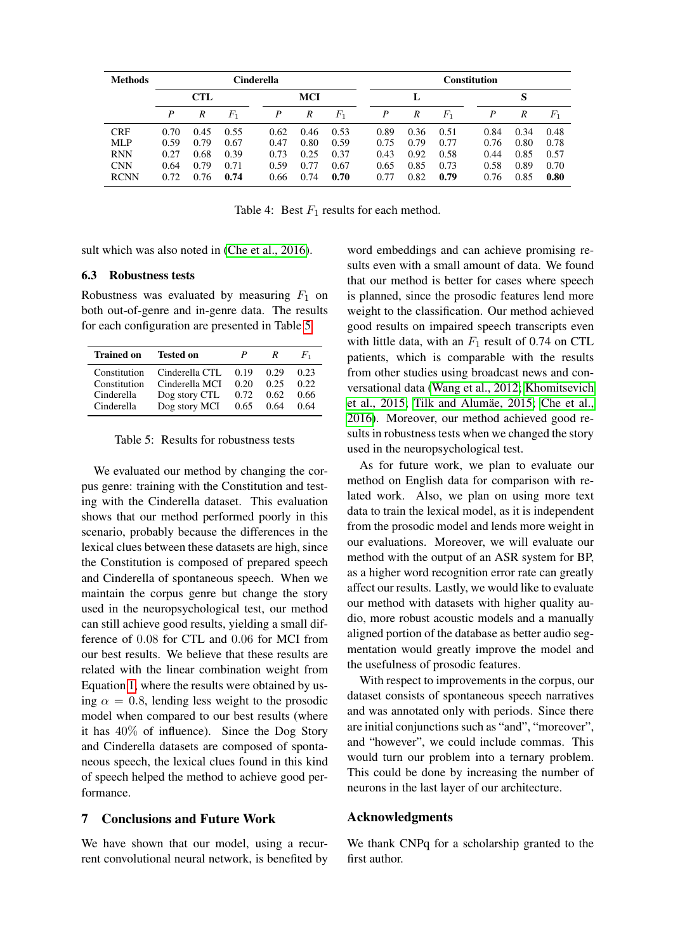<span id="page-8-0"></span>

| <b>Methods</b>            | Cinderella   |              |              |              |              |              | <b>Constitution</b> |              |              |  |              |              |              |
|---------------------------|--------------|--------------|--------------|--------------|--------------|--------------|---------------------|--------------|--------------|--|--------------|--------------|--------------|
|                           | CTL<br>MCI   |              |              |              | L            |              |                     |              | S            |  |              |              |              |
|                           | P            | R            | $F_{\rm 1}$  | P            | R            | $F_{1}$      | P                   | R            | $F_1$        |  | P            | R            | $F_1$        |
| <b>CRF</b>                | 0.70         | 0.45         | 0.55         | 0.62         | 0.46         | 0.53         | 0.89                | 0.36         | 0.51         |  | 0.84         | 0.34         | 0.48         |
| MLP                       | 0.59         | 0.79         | 0.67         | 0.47         | 0.80         | 0.59         | 0.75                | 0.79         | 0.77         |  | 0.76         | 0.80         | 0.78         |
| <b>RNN</b>                | 0.27         | 0.68         | 0.39         | 0.73         | 0.25         | 0.37         | 0.43                | 0.92         | 0.58         |  | 0.44         | 0.85         | 0.57         |
| <b>CNN</b><br><b>RCNN</b> | 0.64<br>0.72 | 0.79<br>0.76 | 0.71<br>0.74 | 0.59<br>0.66 | 0.77<br>0.74 | 0.67<br>0.70 | 0.65<br>0.77        | 0.85<br>0.82 | 0.73<br>0.79 |  | 0.58<br>0.76 | 0.89<br>0.85 | 0.70<br>0.80 |

Table 4: Best  $F_1$  results for each method.

sult which was also noted in [\(Che et al., 2016\)](#page-9-7).

#### 6.3 Robustness tests

Robustness was evaluated by measuring  $F_1$  on both out-of-genre and in-genre data. The results for each configuration are presented in Table [5.](#page-8-1)

<span id="page-8-1"></span>

| <b>Trained on</b> | <b>Tested on</b> | P    | R    | $F_{1}$ |
|-------------------|------------------|------|------|---------|
| Constitution      | Cinderella CTL   | 0.19 | 0.29 | 0.23    |
| Constitution      | Cinderella MCI   | 0.20 | 0.25 | 0.22.   |
| Cinderella        | Dog story CTL    | 0.72 | 0.62 | 0.66    |
| Cinderella        | Dog story MCI    | 0.65 | 0.64 | 0.64    |

Table 5: Results for robustness tests

We evaluated our method by changing the corpus genre: training with the Constitution and testing with the Cinderella dataset. This evaluation shows that our method performed poorly in this scenario, probably because the differences in the lexical clues between these datasets are high, since the Constitution is composed of prepared speech and Cinderella of spontaneous speech. When we maintain the corpus genre but change the story used in the neuropsychological test, our method can still achieve good results, yielding a small difference of 0.08 for CTL and 0.06 for MCI from our best results. We believe that these results are related with the linear combination weight from Equation [1,](#page-4-1) where the results were obtained by using  $\alpha = 0.8$ , lending less weight to the prosodic model when compared to our best results (where it has 40% of influence). Since the Dog Story and Cinderella datasets are composed of spontaneous speech, the lexical clues found in this kind of speech helped the method to achieve good performance.

### 7 Conclusions and Future Work

We have shown that our model, using a recurrent convolutional neural network, is benefited by

word embeddings and can achieve promising results even with a small amount of data. We found that our method is better for cases where speech is planned, since the prosodic features lend more weight to the classification. Our method achieved good results on impaired speech transcripts even with little data, with an  $F_1$  result of 0.74 on CTL patients, which is comparable with the results from other studies using broadcast news and conversational data [\(Wang et al., 2012;](#page-10-9) [Khomitsevich](#page-9-6) [et al., 2015;](#page-9-6) Tilk and Alumäe, 2015; [Che et al.,](#page-9-7) [2016\)](#page-9-7). Moreover, our method achieved good results in robustness tests when we changed the story used in the neuropsychological test.

As for future work, we plan to evaluate our method on English data for comparison with related work. Also, we plan on using more text data to train the lexical model, as it is independent from the prosodic model and lends more weight in our evaluations. Moreover, we will evaluate our method with the output of an ASR system for BP, as a higher word recognition error rate can greatly affect our results. Lastly, we would like to evaluate our method with datasets with higher quality audio, more robust acoustic models and a manually aligned portion of the database as better audio segmentation would greatly improve the model and the usefulness of prosodic features.

With respect to improvements in the corpus, our dataset consists of spontaneous speech narratives and was annotated only with periods. Since there are initial conjunctions such as "and", "moreover", and "however", we could include commas. This would turn our problem into a ternary problem. This could be done by increasing the number of neurons in the last layer of our architecture.

#### Acknowledgments

We thank CNPq for a scholarship granted to the first author.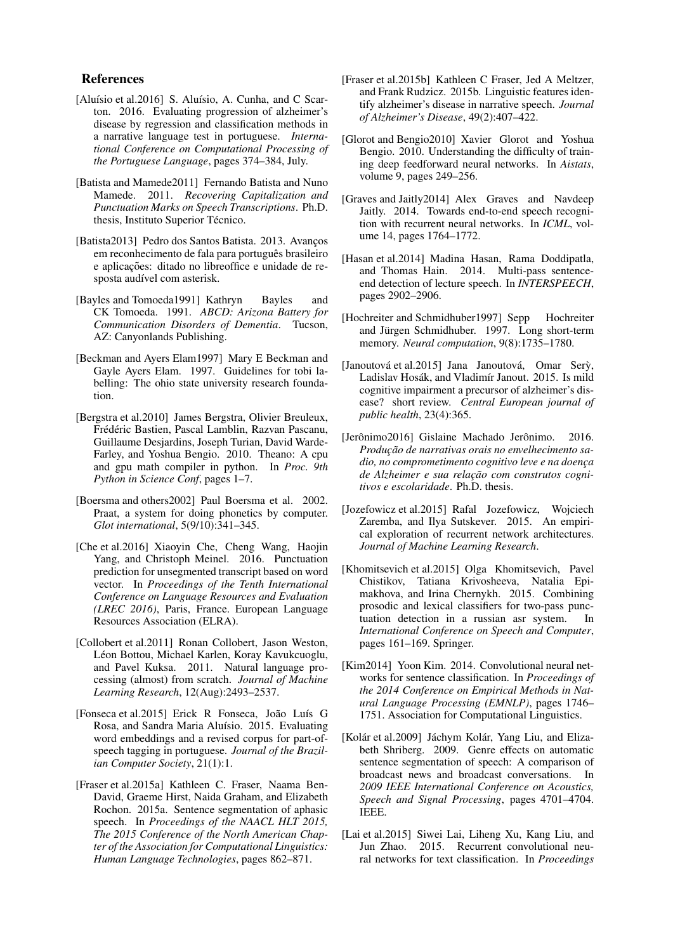#### References

- <span id="page-9-3"></span>[Aluísio et al.2016] S. Aluísio, A. Cunha, and C Scarton. 2016. Evaluating progression of alzheimer's disease by regression and classification methods in a narrative language test in portuguese. *International Conference on Computational Processing of the Portuguese Language*, pages 374–384, July.
- <span id="page-9-8"></span>[Batista and Mamede2011] Fernando Batista and Nuno Mamede. 2011. *Recovering Capitalization and Punctuation Marks on Speech Transcriptions*. Ph.D. thesis, Instituto Superior Técnico.
- <span id="page-9-9"></span>[Batista2013] Pedro dos Santos Batista. 2013. Avanços em reconhecimento de fala para português brasileiro e aplicações: ditado no libreoffice e unidade de resposta audível com asterisk.
- <span id="page-9-1"></span>[Bayles and Tomoeda1991] Kathryn Bayles and CK Tomoeda. 1991. *ABCD: Arizona Battery for Communication Disorders of Dementia*. Tucson, AZ: Canyonlands Publishing.
- <span id="page-9-14"></span>[Beckman and Ayers Elam1997] Mary E Beckman and Gayle Ayers Elam. 1997. Guidelines for tobi labelling: The ohio state university research foundation.
- <span id="page-9-21"></span>[Bergstra et al.2010] James Bergstra, Olivier Breuleux, Frédéric Bastien, Pascal Lamblin, Razvan Pascanu, Guillaume Desjardins, Joseph Turian, David Warde-Farley, and Yoshua Bengio. 2010. Theano: A cpu and gpu math compiler in python. In *Proc. 9th Python in Science Conf*, pages 1–7.
- <span id="page-9-13"></span>[Boersma and others2002] Paul Boersma et al. 2002. Praat, a system for doing phonetics by computer. *Glot international*, 5(9/10):341–345.
- <span id="page-9-7"></span>[Che et al.2016] Xiaoyin Che, Cheng Wang, Haojin Yang, and Christoph Meinel. 2016. Punctuation prediction for unsegmented transcript based on word vector. In *Proceedings of the Tenth International Conference on Language Resources and Evaluation (LREC 2016)*, Paris, France. European Language Resources Association (ELRA).
- <span id="page-9-12"></span>[Collobert et al.2011] Ronan Collobert, Jason Weston, Léon Bottou, Michael Karlen, Koray Kavukcuoglu, and Pavel Kuksa. 2011. Natural language processing (almost) from scratch. *Journal of Machine Learning Research*, 12(Aug):2493–2537.
- <span id="page-9-11"></span>[Fonseca et al.2015] Erick R Fonseca, João Luís G Rosa, and Sandra Maria Aluísio. 2015. Evaluating word embeddings and a revised corpus for part-ofspeech tagging in portuguese. *Journal of the Brazilian Computer Society*, 21(1):1.
- <span id="page-9-4"></span>[Fraser et al.2015a] Kathleen C. Fraser, Naama Ben-David, Graeme Hirst, Naida Graham, and Elizabeth Rochon. 2015a. Sentence segmentation of aphasic speech. In *Proceedings of the NAACL HLT 2015, The 2015 Conference of the North American Chapter of the Association for Computational Linguistics: Human Language Technologies*, pages 862–871.
- <span id="page-9-2"></span>[Fraser et al.2015b] Kathleen C Fraser, Jed A Meltzer, and Frank Rudzicz. 2015b. Linguistic features identify alzheimer's disease in narrative speech. *Journal of Alzheimer's Disease*, 49(2):407–422.
- <span id="page-9-20"></span>[Glorot and Bengio2010] Xavier Glorot and Yoshua Bengio. 2010. Understanding the difficulty of training deep feedforward neural networks. In *Aistats*, volume 9, pages 249–256.
- <span id="page-9-19"></span>[Graves and Jaitly2014] Alex Graves and Navdeep Jaitly. 2014. Towards end-to-end speech recognition with recurrent neural networks. In *ICML*, volume 14, pages 1764–1772.
- <span id="page-9-5"></span>[Hasan et al.2014] Madina Hasan, Rama Doddipatla, and Thomas Hain. 2014. Multi-pass sentenceend detection of lecture speech. In *INTERSPEECH*, pages 2902–2906.
- <span id="page-9-17"></span>[Hochreiter and Schmidhuber1997] Sepp Hochreiter and Jürgen Schmidhuber. 1997. Long short-term memory. *Neural computation*, 9(8):1735–1780.
- <span id="page-9-0"></span>[Janoutová et al.2015] Jana Janoutová, Omar Serỳ, Ladislav Hosák, and Vladimír Janout. 2015. Is mild cognitive impairment a precursor of alzheimer's disease? short review. *Central European journal of public health*, 23(4):365.
- <span id="page-9-10"></span>[Jerônimo2016] Gislaine Machado Jerônimo. 2016. *Produc¸ao de narrativas orais no envelhecimento sa- ˜ dio, no comprometimento cognitivo leve e na doenc¸a*  $de$  *Alzheimer e sua relação com construtos cognitivos e escolaridade*. Ph.D. thesis.
- <span id="page-9-18"></span>[Jozefowicz et al.2015] Rafal Jozefowicz, Wojciech Zaremba, and Ilya Sutskever. 2015. An empirical exploration of recurrent network architectures. *Journal of Machine Learning Research*.
- <span id="page-9-6"></span>[Khomitsevich et al.2015] Olga Khomitsevich, Pavel Chistikov, Tatiana Krivosheeva, Natalia Epimakhova, and Irina Chernykh. 2015. Combining prosodic and lexical classifiers for two-pass punctuation detection in a russian asr system. In *International Conference on Speech and Computer*, pages 161–169. Springer.
- <span id="page-9-16"></span>[Kim2014] Yoon Kim. 2014. Convolutional neural networks for sentence classification. In *Proceedings of the 2014 Conference on Empirical Methods in Natural Language Processing (EMNLP)*, pages 1746– 1751. Association for Computational Linguistics.
- <span id="page-9-22"></span>[Kolár et al.2009] Jáchym Kolár, Yang Liu, and Elizabeth Shriberg. 2009. Genre effects on automatic sentence segmentation of speech: A comparison of broadcast news and broadcast conversations. In *2009 IEEE International Conference on Acoustics, Speech and Signal Processing*, pages 4701–4704. IEEE.
- <span id="page-9-15"></span>[Lai et al.2015] Siwei Lai, Liheng Xu, Kang Liu, and Jun Zhao. 2015. Recurrent convolutional neural networks for text classification. In *Proceedings*